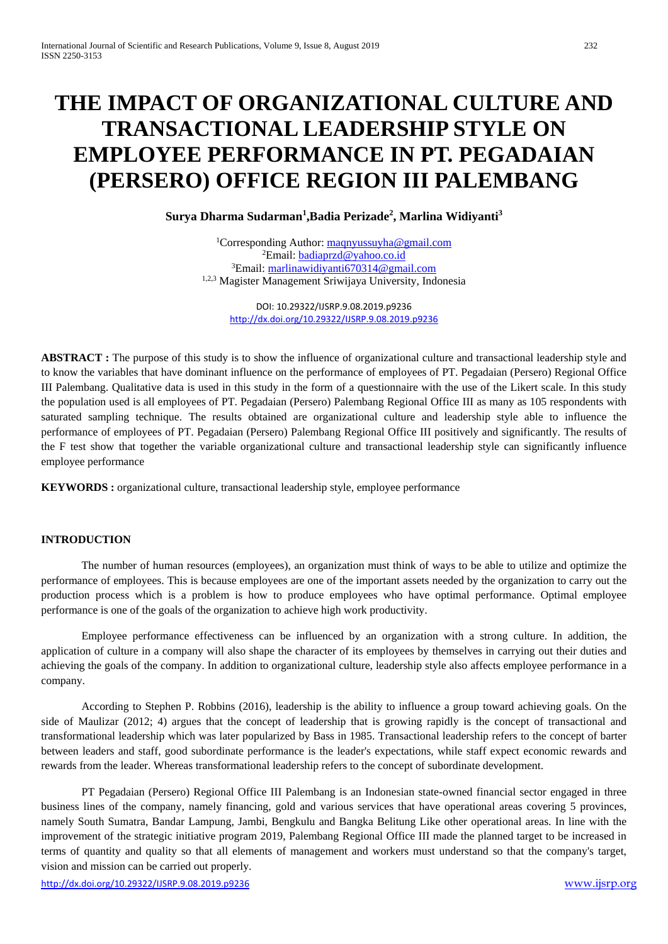# **THE IMPACT OF ORGANIZATIONAL CULTURE AND TRANSACTIONAL LEADERSHIP STYLE ON EMPLOYEE PERFORMANCE IN PT. PEGADAIAN (PERSERO) OFFICE REGION III PALEMBANG**

**Surya Dharma Sudarman1 ,Badia Perizade2 , Marlina Widiyanti3**

<sup>1</sup>Corresponding Author[: maqnyussuyha@gmail.com](mailto:maqnyussuyha@gmail.com) <sup>2</sup>Email: <u>badiaprzd@yahoo.co.id</u> <sup>3</sup>Email: [marlinawidiyanti670314@gmail.com](mailto:marlinawidiyanti670314@gmail.com) 1,2,3 Magister Management Sriwijaya University, Indonesia

> DOI: 10.29322/IJSRP.9.08.2019.p9236 <http://dx.doi.org/10.29322/IJSRP.9.08.2019.p9236>

**ABSTRACT :** The purpose of this study is to show the influence of organizational culture and transactional leadership style and to know the variables that have dominant influence on the performance of employees of PT. Pegadaian (Persero) Regional Office III Palembang. Qualitative data is used in this study in the form of a questionnaire with the use of the Likert scale. In this study the population used is all employees of PT. Pegadaian (Persero) Palembang Regional Office III as many as 105 respondents with saturated sampling technique. The results obtained are organizational culture and leadership style able to influence the performance of employees of PT. Pegadaian (Persero) Palembang Regional Office III positively and significantly. The results of the F test show that together the variable organizational culture and transactional leadership style can significantly influence employee performance

**KEYWORDS :** organizational culture, transactional leadership style, employee performance

# **INTRODUCTION**

The number of human resources (employees), an organization must think of ways to be able to utilize and optimize the performance of employees. This is because employees are one of the important assets needed by the organization to carry out the production process which is a problem is how to produce employees who have optimal performance. Optimal employee performance is one of the goals of the organization to achieve high work productivity.

Employee performance effectiveness can be influenced by an organization with a strong culture. In addition, the application of culture in a company will also shape the character of its employees by themselves in carrying out their duties and achieving the goals of the company. In addition to organizational culture, leadership style also affects employee performance in a company.

According to Stephen P. Robbins (2016), leadership is the ability to influence a group toward achieving goals. On the side of Maulizar (2012; 4) argues that the concept of leadership that is growing rapidly is the concept of transactional and transformational leadership which was later popularized by Bass in 1985. Transactional leadership refers to the concept of barter between leaders and staff, good subordinate performance is the leader's expectations, while staff expect economic rewards and rewards from the leader. Whereas transformational leadership refers to the concept of subordinate development.

PT Pegadaian (Persero) Regional Office III Palembang is an Indonesian state-owned financial sector engaged in three business lines of the company, namely financing, gold and various services that have operational areas covering 5 provinces, namely South Sumatra, Bandar Lampung, Jambi, Bengkulu and Bangka Belitung Like other operational areas. In line with the improvement of the strategic initiative program 2019, Palembang Regional Office III made the planned target to be increased in terms of quantity and quality so that all elements of management and workers must understand so that the company's target, vision and mission can be carried out properly.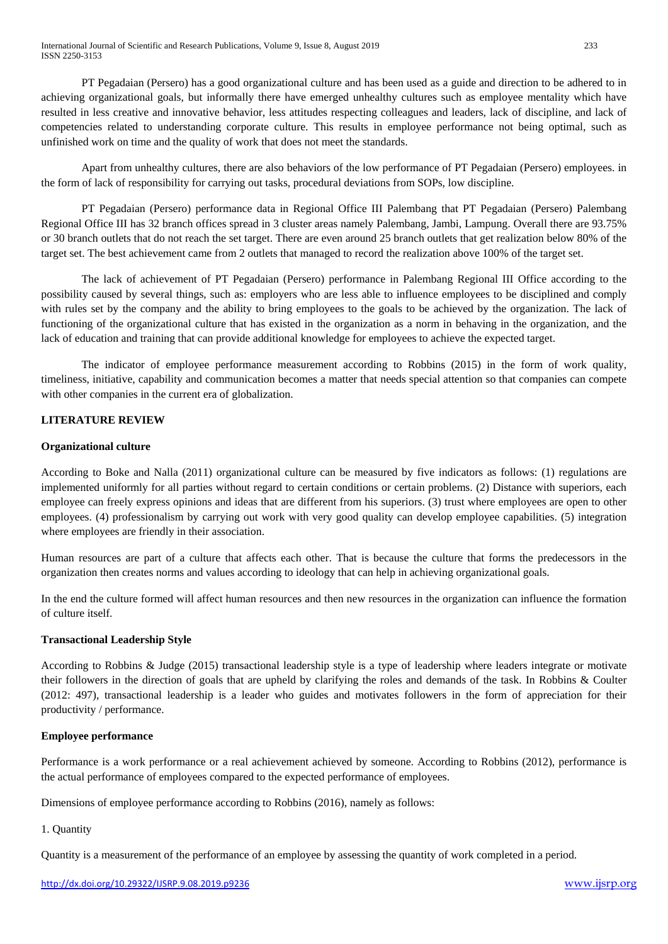PT Pegadaian (Persero) has a good organizational culture and has been used as a guide and direction to be adhered to in achieving organizational goals, but informally there have emerged unhealthy cultures such as employee mentality which have resulted in less creative and innovative behavior, less attitudes respecting colleagues and leaders, lack of discipline, and lack of competencies related to understanding corporate culture. This results in employee performance not being optimal, such as unfinished work on time and the quality of work that does not meet the standards.

Apart from unhealthy cultures, there are also behaviors of the low performance of PT Pegadaian (Persero) employees. in the form of lack of responsibility for carrying out tasks, procedural deviations from SOPs, low discipline.

PT Pegadaian (Persero) performance data in Regional Office III Palembang that PT Pegadaian (Persero) Palembang Regional Office III has 32 branch offices spread in 3 cluster areas namely Palembang, Jambi, Lampung. Overall there are 93.75% or 30 branch outlets that do not reach the set target. There are even around 25 branch outlets that get realization below 80% of the target set. The best achievement came from 2 outlets that managed to record the realization above 100% of the target set.

The lack of achievement of PT Pegadaian (Persero) performance in Palembang Regional III Office according to the possibility caused by several things, such as: employers who are less able to influence employees to be disciplined and comply with rules set by the company and the ability to bring employees to the goals to be achieved by the organization. The lack of functioning of the organizational culture that has existed in the organization as a norm in behaving in the organization, and the lack of education and training that can provide additional knowledge for employees to achieve the expected target.

The indicator of employee performance measurement according to Robbins (2015) in the form of work quality, timeliness, initiative, capability and communication becomes a matter that needs special attention so that companies can compete with other companies in the current era of globalization.

# **LITERATURE REVIEW**

### **Organizational culture**

According to Boke and Nalla (2011) organizational culture can be measured by five indicators as follows: (1) regulations are implemented uniformly for all parties without regard to certain conditions or certain problems. (2) Distance with superiors, each employee can freely express opinions and ideas that are different from his superiors. (3) trust where employees are open to other employees. (4) professionalism by carrying out work with very good quality can develop employee capabilities. (5) integration where employees are friendly in their association.

Human resources are part of a culture that affects each other. That is because the culture that forms the predecessors in the organization then creates norms and values according to ideology that can help in achieving organizational goals.

In the end the culture formed will affect human resources and then new resources in the organization can influence the formation of culture itself.

# **Transactional Leadership Style**

According to Robbins & Judge (2015) transactional leadership style is a type of leadership where leaders integrate or motivate their followers in the direction of goals that are upheld by clarifying the roles and demands of the task. In Robbins & Coulter (2012: 497), transactional leadership is a leader who guides and motivates followers in the form of appreciation for their productivity / performance.

# **Employee performance**

Performance is a work performance or a real achievement achieved by someone. According to Robbins (2012), performance is the actual performance of employees compared to the expected performance of employees.

Dimensions of employee performance according to Robbins (2016), namely as follows:

# 1. Quantity

Quantity is a measurement of the performance of an employee by assessing the quantity of work completed in a period.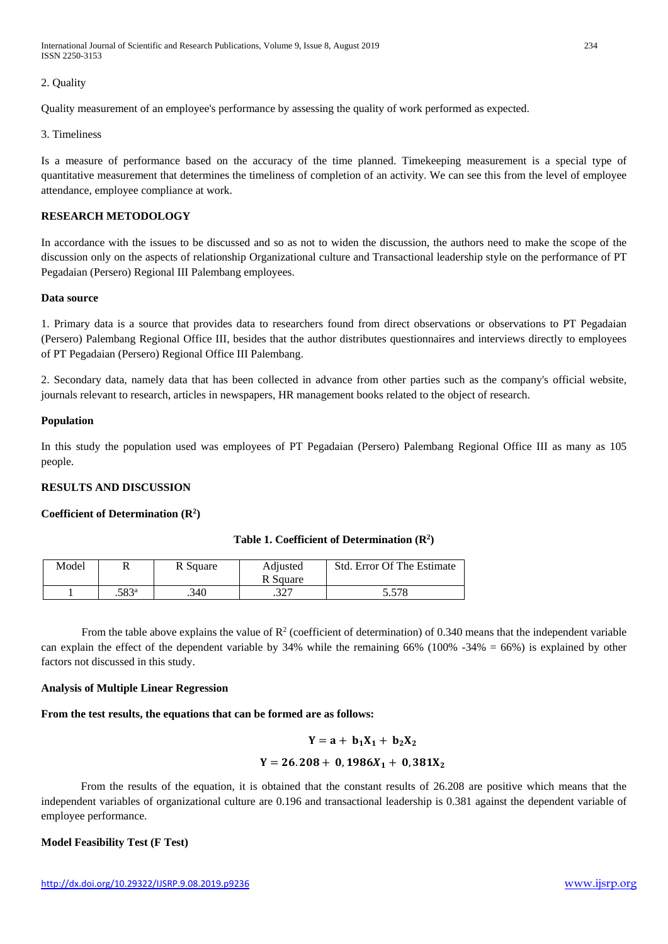International Journal of Scientific and Research Publications, Volume 9, Issue 8, August 2019 234 ISSN 2250-3153

#### 2. Quality

Quality measurement of an employee's performance by assessing the quality of work performed as expected.

#### 3. Timeliness

Is a measure of performance based on the accuracy of the time planned. Timekeeping measurement is a special type of quantitative measurement that determines the timeliness of completion of an activity. We can see this from the level of employee attendance, employee compliance at work.

#### **RESEARCH METODOLOGY**

In accordance with the issues to be discussed and so as not to widen the discussion, the authors need to make the scope of the discussion only on the aspects of relationship Organizational culture and Transactional leadership style on the performance of PT Pegadaian (Persero) Regional III Palembang employees.

#### **Data source**

1. Primary data is a source that provides data to researchers found from direct observations or observations to PT Pegadaian (Persero) Palembang Regional Office III, besides that the author distributes questionnaires and interviews directly to employees of PT Pegadaian (Persero) Regional Office III Palembang.

2. Secondary data, namely data that has been collected in advance from other parties such as the company's official website, journals relevant to research, articles in newspapers, HR management books related to the object of research.

#### **Population**

In this study the population used was employees of PT Pegadaian (Persero) Palembang Regional Office III as many as 105 people.

#### **RESULTS AND DISCUSSION**

#### **Coefficient of Determination (R2 )**

#### **Table 1. Coefficient of Determination (R2 )**

| Model |                | R Square | Adjusted     | <b>Std. Error Of The Estimate</b> |
|-------|----------------|----------|--------------|-----------------------------------|
|       |                |          | R Square     |                                   |
|       | $.583^{\rm a}$ | .340     | つつつ<br>، عدد | 5.578                             |

From the table above explains the value of  $R^2$  (coefficient of determination) of 0.340 means that the independent variable can explain the effect of the dependent variable by 34% while the remaining 66% (100% -34% = 66%) is explained by other factors not discussed in this study.

#### **Analysis of Multiple Linear Regression**

# **From the test results, the equations that can be formed are as follows:**

$$
Y = a + b_1 X_1 + b_2 X_2
$$
  
 
$$
Y = 26.208 + 0.1986 X_1 + 0.381 X_2
$$

From the results of the equation, it is obtained that the constant results of 26.208 are positive which means that the independent variables of organizational culture are 0.196 and transactional leadership is 0.381 against the dependent variable of employee performance.

# **Model Feasibility Test (F Test)**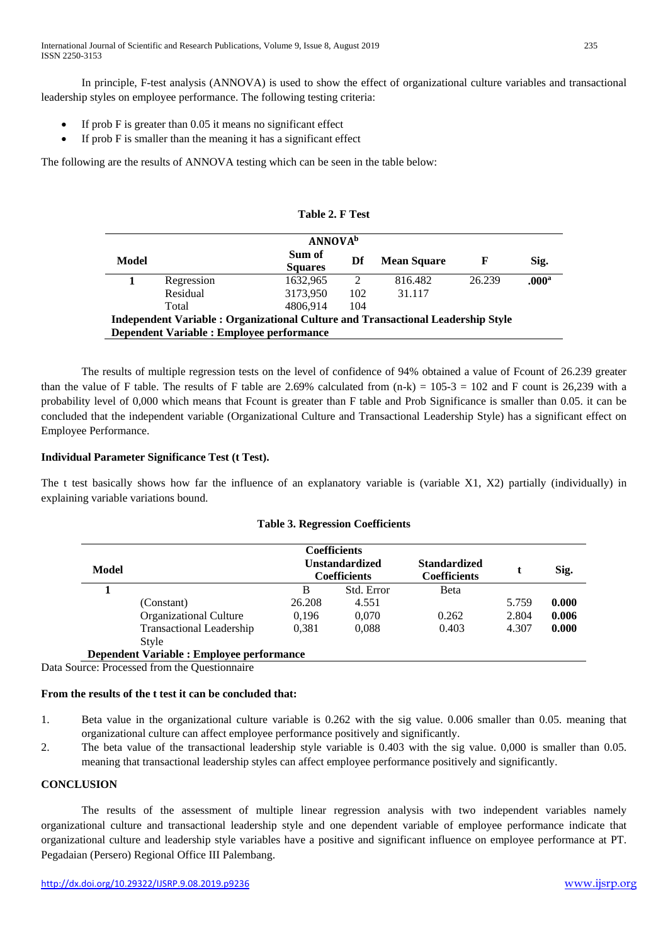International Journal of Scientific and Research Publications, Volume 9, Issue 8, August 2019 235 ISSN 2250-3153

In principle, F-test analysis (ANNOVA) is used to show the effect of organizational culture variables and transactional leadership styles on employee performance. The following testing criteria:

- If prob  $F$  is greater than 0.05 it means no significant effect
- If prob F is smaller than the meaning it has a significant effect

The following are the results of ANNOVA testing which can be seen in the table below:

| <b>ANNOVA</b> <sup>b</sup>                                                       |            |                          |               |                    |        |                   |  |
|----------------------------------------------------------------------------------|------------|--------------------------|---------------|--------------------|--------|-------------------|--|
| Model                                                                            |            | Sum of<br><b>Squares</b> | Df            | <b>Mean Square</b> | F      | Sig.              |  |
|                                                                                  | Regression | 1632,965                 | $\mathcal{L}$ | 816.482            | 26.239 | .000 <sup>a</sup> |  |
|                                                                                  | Residual   | 3173,950                 | 102           | 31.117             |        |                   |  |
|                                                                                  | Total      | 4806.914                 | 104           |                    |        |                   |  |
| Independent Variable : Organizational Culture and Transactional Leadership Style |            |                          |               |                    |        |                   |  |
| Dependent Variable : Employee performance                                        |            |                          |               |                    |        |                   |  |

**Table 2. F Test**

The results of multiple regression tests on the level of confidence of 94% obtained a value of Fcount of 26.239 greater than the value of F table. The results of F table are 2.69% calculated from  $(n-k) = 105-3 = 102$  and F count is 26,239 with a probability level of 0,000 which means that Fcount is greater than F table and Prob Significance is smaller than 0.05. it can be concluded that the independent variable (Organizational Culture and Transactional Leadership Style) has a significant effect on Employee Performance.

#### **Individual Parameter Significance Test (t Test).**

The t test basically shows how far the influence of an explanatory variable is (variable X1, X2) partially (individually) in explaining variable variations bound.

| <b>Table 3. Regression Coefficients</b> |  |  |  |
|-----------------------------------------|--|--|--|
|-----------------------------------------|--|--|--|

| Model                                            | <b>Coefficients</b><br><b>Unstandardized</b><br><b>Coefficients</b> |        |            | <b>Standardized</b><br><b>Coefficients</b> |       | Sig.  |
|--------------------------------------------------|---------------------------------------------------------------------|--------|------------|--------------------------------------------|-------|-------|
|                                                  |                                                                     | B      | Std. Error | <b>B</b> eta                               |       |       |
|                                                  | (Constant)                                                          | 26.208 | 4.551      |                                            | 5.759 | 0.000 |
|                                                  | <b>Organizational Culture</b>                                       | 0.196  | 0,070      | 0.262                                      | 2.804 | 0.006 |
|                                                  | <b>Transactional Leadership</b>                                     | 0.381  | 0.088      | 0.403                                      | 4.307 | 0.000 |
|                                                  | Style                                                               |        |            |                                            |       |       |
| <b>Dependent Variable : Employee performance</b> |                                                                     |        |            |                                            |       |       |

Data Source: Processed from the Questionnaire

#### **From the results of the t test it can be concluded that:**

- 1. Beta value in the organizational culture variable is 0.262 with the sig value. 0.006 smaller than 0.05. meaning that organizational culture can affect employee performance positively and significantly.
- 2. The beta value of the transactional leadership style variable is 0.403 with the sig value. 0,000 is smaller than 0.05. meaning that transactional leadership styles can affect employee performance positively and significantly.

#### **CONCLUSION**

The results of the assessment of multiple linear regression analysis with two independent variables namely organizational culture and transactional leadership style and one dependent variable of employee performance indicate that organizational culture and leadership style variables have a positive and significant influence on employee performance at PT. Pegadaian (Persero) Regional Office III Palembang.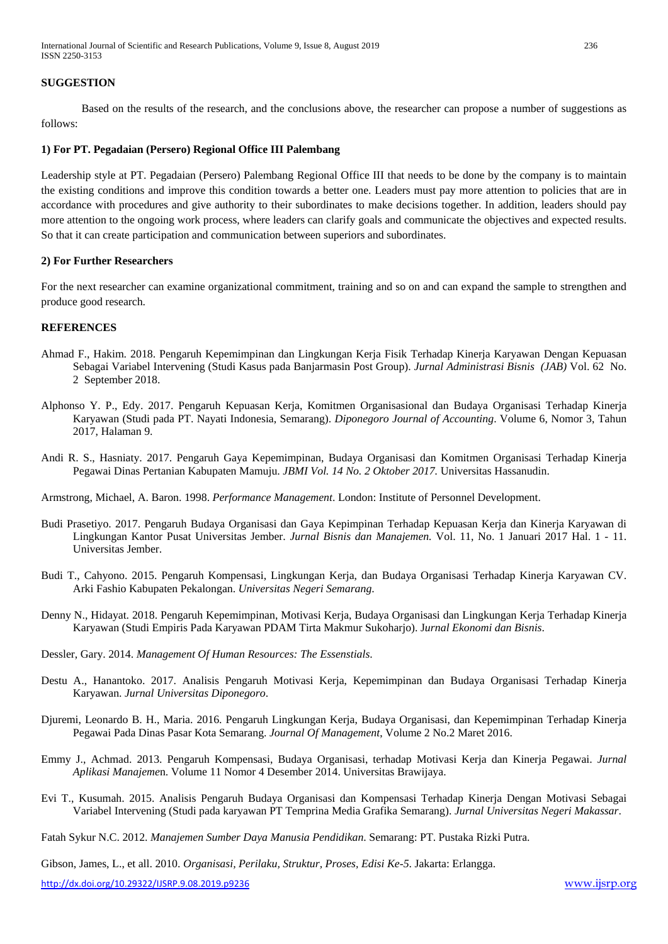#### **SUGGESTION**

Based on the results of the research, and the conclusions above, the researcher can propose a number of suggestions as follows:

#### **1) For PT. Pegadaian (Persero) Regional Office III Palembang**

Leadership style at PT. Pegadaian (Persero) Palembang Regional Office III that needs to be done by the company is to maintain the existing conditions and improve this condition towards a better one. Leaders must pay more attention to policies that are in accordance with procedures and give authority to their subordinates to make decisions together. In addition, leaders should pay more attention to the ongoing work process, where leaders can clarify goals and communicate the objectives and expected results. So that it can create participation and communication between superiors and subordinates.

#### **2) For Further Researchers**

For the next researcher can examine organizational commitment, training and so on and can expand the sample to strengthen and produce good research.

#### **REFERENCES**

- Ahmad F., Hakim. 2018. Pengaruh Kepemimpinan dan Lingkungan Kerja Fisik Terhadap Kinerja Karyawan Dengan Kepuasan Sebagai Variabel Intervening (Studi Kasus pada Banjarmasin Post Group). *Jurnal Administrasi Bisnis (JAB)* Vol. 62 No. 2 September 2018.
- Alphonso Y. P., Edy. 2017. Pengaruh Kepuasan Kerja, Komitmen Organisasional dan Budaya Organisasi Terhadap Kinerja Karyawan (Studi pada PT. Nayati Indonesia, Semarang). *Diponegoro Journal of Accounting*. Volume 6, Nomor 3, Tahun 2017, Halaman 9.
- Andi R. S., Hasniaty. 2017. Pengaruh Gaya Kepemimpinan, Budaya Organisasi dan Komitmen Organisasi Terhadap Kinerja Pegawai Dinas Pertanian Kabupaten Mamuju. *JBMI Vol. 14 No. 2 Oktober 2017.* Universitas Hassanudin.

Armstrong, Michael, A. Baron. 1998. *Performance Management*. London: Institute of Personnel Development.

- Budi Prasetiyo. 2017. Pengaruh Budaya Organisasi dan Gaya Kepimpinan Terhadap Kepuasan Kerja dan Kinerja Karyawan di Lingkungan Kantor Pusat Universitas Jember. *Jurnal Bisnis dan Manajemen.* Vol. 11, No. 1 Januari 2017 Hal. 1 - 11. Universitas Jember.
- Budi T., Cahyono. 2015. Pengaruh Kompensasi, Lingkungan Kerja, dan Budaya Organisasi Terhadap Kinerja Karyawan CV. Arki Fashio Kabupaten Pekalongan. *Universitas Negeri Semarang*.
- Denny N., Hidayat. 2018. Pengaruh Kepemimpinan, Motivasi Kerja, Budaya Organisasi dan Lingkungan Kerja Terhadap Kinerja Karyawan (Studi Empiris Pada Karyawan PDAM Tirta Makmur Sukoharjo). J*urnal Ekonomi dan Bisnis*.
- Dessler, Gary. 2014. *Management Of Human Resources: The Essenstials*.
- Destu A., Hanantoko. 2017. Analisis Pengaruh Motivasi Kerja, Kepemimpinan dan Budaya Organisasi Terhadap Kinerja Karyawan. *Jurnal Universitas Diponegoro*.
- Djuremi, Leonardo B. H., Maria. 2016. Pengaruh Lingkungan Kerja, Budaya Organisasi, dan Kepemimpinan Terhadap Kinerja Pegawai Pada Dinas Pasar Kota Semarang. *Journal Of Management*, Volume 2 No.2 Maret 2016.
- Emmy J., Achmad. 2013. Pengaruh Kompensasi, Budaya Organisasi, terhadap Motivasi Kerja dan Kinerja Pegawai. *Jurnal Aplikasi Manajeme*n. Volume 11 Nomor 4 Desember 2014. Universitas Brawijaya.
- Evi T., Kusumah. 2015. Analisis Pengaruh Budaya Organisasi dan Kompensasi Terhadap Kinerja Dengan Motivasi Sebagai Variabel Intervening (Studi pada karyawan PT Temprina Media Grafika Semarang). *Jurnal Universitas Negeri Makassar*.
- Fatah Sykur N.C. 2012. *Manajemen Sumber Daya Manusia Pendidikan*. Semarang: PT. Pustaka Rizki Putra.

Gibson, James, L., et all. 2010. *Organisasi, Perilaku, Struktur, Proses, Edisi Ke-5*. Jakarta: Erlangga.

<http://dx.doi.org/10.29322/IJSRP.9.08.2019.p9236> [www.ijsrp.org](http://ijsrp.org/)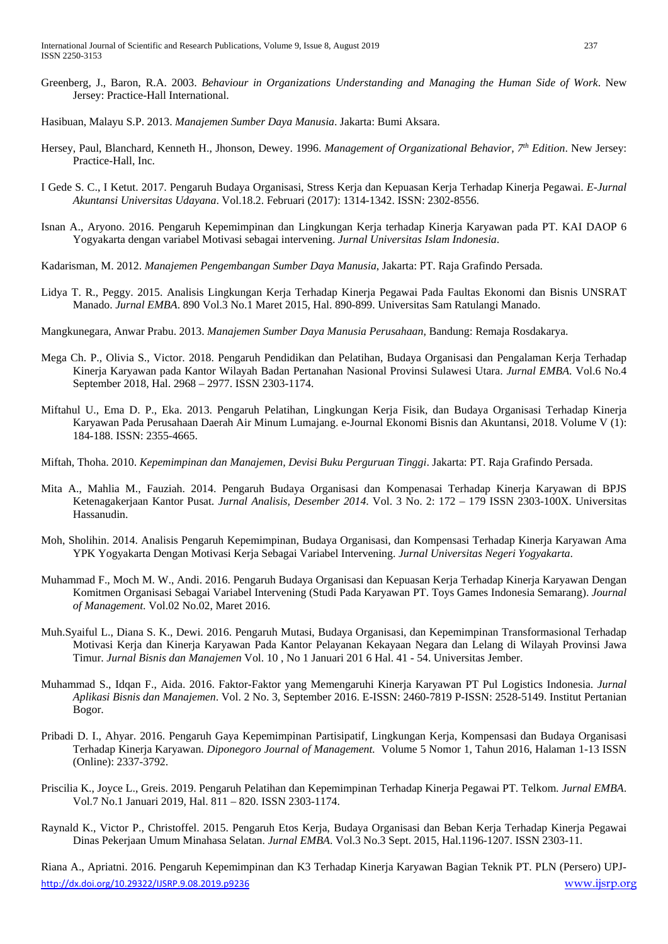- Greenberg, J., Baron, R.A. 2003. *Behaviour in Organizations Understanding and Managing the Human Side of Work*. New Jersey: Practice-Hall International.
- Hasibuan, Malayu S.P. 2013. *Manajemen Sumber Daya Manusia*. Jakarta: Bumi Aksara.
- Hersey, Paul, Blanchard, Kenneth H., Jhonson, Dewey. 1996. *Management of Organizational Behavior, 7th Edition*. New Jersey: Practice-Hall, Inc.
- I Gede S. C., I Ketut. 2017. Pengaruh Budaya Organisasi, Stress Kerja dan Kepuasan Kerja Terhadap Kinerja Pegawai. *E-Jurnal Akuntansi Universitas Udayana*. Vol.18.2. Februari (2017): 1314-1342. ISSN: 2302-8556.
- Isnan A., Aryono. 2016. Pengaruh Kepemimpinan dan Lingkungan Kerja terhadap Kinerja Karyawan pada PT. KAI DAOP 6 Yogyakarta dengan variabel Motivasi sebagai intervening. *Jurnal Universitas Islam Indonesia*.
- Kadarisman, M. 2012. *Manajemen Pengembangan Sumber Daya Manusia*, Jakarta: PT. Raja Grafindo Persada.
- Lidya T. R., Peggy. 2015. Analisis Lingkungan Kerja Terhadap Kinerja Pegawai Pada Faultas Ekonomi dan Bisnis UNSRAT Manado. *Jurnal EMBA*. 890 Vol.3 No.1 Maret 2015, Hal. 890-899. Universitas Sam Ratulangi Manado.
- Mangkunegara, Anwar Prabu. 2013. *Manajemen Sumber Daya Manusia Perusahaan*, Bandung: Remaja Rosdakarya.
- Mega Ch. P., Olivia S., Victor. 2018. Pengaruh Pendidikan dan Pelatihan, Budaya Organisasi dan Pengalaman Kerja Terhadap Kinerja Karyawan pada Kantor Wilayah Badan Pertanahan Nasional Provinsi Sulawesi Utara. *Jurnal EMBA*. Vol.6 No.4 September 2018, Hal. 2968 – 2977. ISSN 2303-1174.
- Miftahul U., Ema D. P., Eka. 2013. Pengaruh Pelatihan, Lingkungan Kerja Fisik, dan Budaya Organisasi Terhadap Kinerja Karyawan Pada Perusahaan Daerah Air Minum Lumajang. e-Journal Ekonomi Bisnis dan Akuntansi, 2018. Volume V (1): 184-188. ISSN: 2355-4665.
- Miftah, Thoha. 2010. *Kepemimpinan dan Manajemen, Devisi Buku Perguruan Tinggi*. Jakarta: PT. Raja Grafindo Persada.
- Mita A., Mahlia M., Fauziah. 2014. Pengaruh Budaya Organisasi dan Kompenasai Terhadap Kinerja Karyawan di BPJS Ketenagakerjaan Kantor Pusat. *Jurnal Analisis, Desember 2014*. Vol. 3 No. 2: 172 – 179 ISSN 2303-100X. Universitas Hassanudin.
- Moh, Sholihin. 2014. Analisis Pengaruh Kepemimpinan, Budaya Organisasi, dan Kompensasi Terhadap Kinerja Karyawan Ama YPK Yogyakarta Dengan Motivasi Kerja Sebagai Variabel Intervening. *Jurnal Universitas Negeri Yogyakarta*.
- Muhammad F., Moch M. W., Andi. 2016. Pengaruh Budaya Organisasi dan Kepuasan Kerja Terhadap Kinerja Karyawan Dengan Komitmen Organisasi Sebagai Variabel Intervening (Studi Pada Karyawan PT. Toys Games Indonesia Semarang). *Journal of Management*. Vol.02 No.02, Maret 2016.
- Muh.Syaiful L., Diana S. K., Dewi. 2016. Pengaruh Mutasi, Budaya Organisasi, dan Kepemimpinan Transformasional Terhadap Motivasi Kerja dan Kinerja Karyawan Pada Kantor Pelayanan Kekayaan Negara dan Lelang di Wilayah Provinsi Jawa Timur. *Jurnal Bisnis dan Manajemen* Vol. 10 , No 1 Januari 201 6 Hal. 41 - 54. Universitas Jember.
- Muhammad S., Idqan F., Aida. 2016. Faktor-Faktor yang Memengaruhi Kinerja Karyawan PT Pul Logistics Indonesia. *Jurnal Aplikasi Bisnis dan Manajemen*. Vol. 2 No. 3, September 2016. E-ISSN: 2460-7819 P-ISSN: 2528-5149. Institut Pertanian Bogor.
- Pribadi D. I., Ahyar. 2016. Pengaruh Gaya Kepemimpinan Partisipatif, Lingkungan Kerja, Kompensasi dan Budaya Organisasi Terhadap Kinerja Karyawan. *Diponegoro Journal of Management.* Volume 5 Nomor 1, Tahun 2016, Halaman 1-13 ISSN (Online): 2337-3792.
- Priscilia K., Joyce L., Greis. 2019. Pengaruh Pelatihan dan Kepemimpinan Terhadap Kinerja Pegawai PT. Telkom. *Jurnal EMBA*. Vol.7 No.1 Januari 2019, Hal. 811 – 820. ISSN 2303-1174.
- Raynald K., Victor P., Christoffel. 2015. Pengaruh Etos Kerja, Budaya Organisasi dan Beban Kerja Terhadap Kinerja Pegawai Dinas Pekerjaan Umum Minahasa Selatan. *Jurnal EMBA*. Vol.3 No.3 Sept. 2015, Hal.1196-1207. ISSN 2303-11.

<http://dx.doi.org/10.29322/IJSRP.9.08.2019.p9236> [www.ijsrp.org](http://ijsrp.org/) Riana A., Apriatni. 2016. Pengaruh Kepemimpinan dan K3 Terhadap Kinerja Karyawan Bagian Teknik PT. PLN (Persero) UPJ-